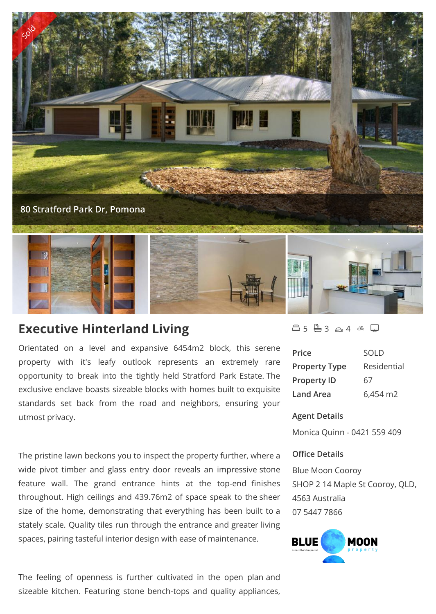

# **Executive Hinterland Living**

Orientated on a level and expansive 6454m2 block, this serene property with it's leafy outlook represents an extremely rare opportunity to break into the tightly held Stratford Park Estate. The exclusive enclave boasts sizeable blocks with homes built to exquisite standards set back from the road and neighbors, ensuring your utmost privacy.

The pristine lawn beckons you to inspect the property further, where a wide pivot timber and glass entry door reveals an impressive stone feature wall. The grand entrance hints at the top-end finishes throughout. High ceilings and 439.76m2 of space speak to the sheer size of the home, demonstrating that everything has been built to a stately scale. Quality tiles run through the entrance and greater living spaces, pairing tasteful interior design with ease of maintenance.

The feeling of openness is further cultivated in the open plan and sizeable kitchen. Featuring stone bench-tops and quality appliances,

# $4 \& 5 \& 3 \& 4 \& \n\implies$

| Price                | <b>SOLD</b> |
|----------------------|-------------|
| <b>Property Type</b> | Residential |
| <b>Property ID</b>   | 67          |
| <b>Land Area</b>     | 6,454 m2    |

#### **Agent Details**

Monica Quinn - 0421 559 409

### **Office Details**

Blue Moon Cooroy SHOP 2 14 Maple St Cooroy, QLD, 4563 Australia 07 5447 7866

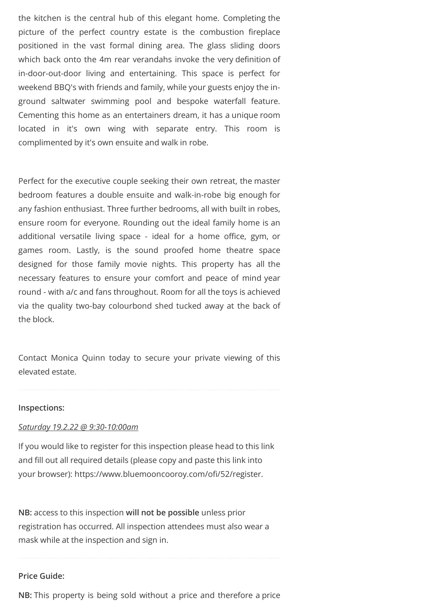the kitchen is the central hub of this elegant home. Completing the picture of the perfect country estate is the combustion fireplace positioned in the vast formal dining area. The glass sliding doors which back onto the 4m rear verandahs invoke the very definition of in-door-out-door living and entertaining. This space is perfect for weekend BBQ's with friends and family, while your guests enjoy the inground saltwater swimming pool and bespoke waterfall feature. Cementing this home as an entertainers dream, it has a unique room located in it's own wing with separate entry. This room is complimented by it's own ensuite and walk in robe.

Perfect for the executive couple seeking their own retreat, the master bedroom features a double ensuite and walk-in-robe big enough for any fashion enthusiast. Three further bedrooms, all with built in robes, ensure room for everyone. Rounding out the ideal family home is an additional versatile living space - ideal for a home office, gym, or games room. Lastly, is the sound proofed home theatre space designed for those family movie nights. This property has all the necessary features to ensure your comfort and peace of mind year round - with a/c and fans throughout. Room for all the toys is achieved via the quality two-bay colourbond shed tucked away at the back of the block.

Contact Monica Quinn today to secure your private viewing of this elevated estate.

#### **Inspections:**

#### *Saturday 19.2.22 @ 9:30-10:00am*

If you would like to register for this inspection please head to this link and fill out all required details (please copy and paste this link into your browser): https://www.bluemooncooroy.com/ofi/52/register.

**NB:** access to this inspection **will not be possible** unless prior registration has occurred. All inspection attendees must also wear a mask while at the inspection and sign in.

### **Price Guide:**

**NB:** This property is being sold without a price and therefore a price